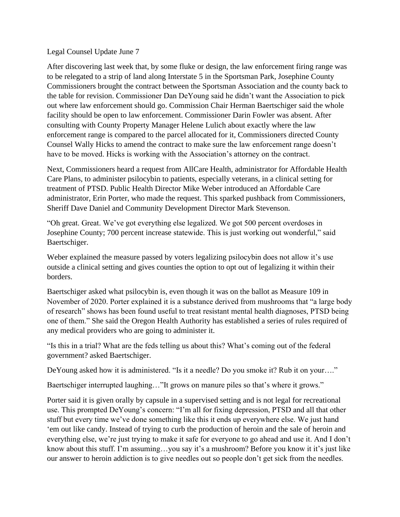## Legal Counsel Update June 7

After discovering last week that, by some fluke or design, the law enforcement firing range was to be relegated to a strip of land along Interstate 5 in the Sportsman Park, Josephine County Commissioners brought the contract between the Sportsman Association and the county back to the table for revision. Commissioner Dan DeYoung said he didn't want the Association to pick out where law enforcement should go. Commission Chair Herman Baertschiger said the whole facility should be open to law enforcement. Commissioner Darin Fowler was absent. After consulting with County Property Manager Helene Lulich about exactly where the law enforcement range is compared to the parcel allocated for it, Commissioners directed County Counsel Wally Hicks to amend the contract to make sure the law enforcement range doesn't have to be moved. Hicks is working with the Association's attorney on the contract.

Next, Commissioners heard a request from AllCare Health, administrator for Affordable Health Care Plans, to administer psilocybin to patients, especially veterans, in a clinical setting for treatment of PTSD. Public Health Director Mike Weber introduced an Affordable Care administrator, Erin Porter, who made the request. This sparked pushback from Commissioners, Sheriff Dave Daniel and Community Development Director Mark Stevenson.

"Oh great. Great. We've got everything else legalized. We got 500 percent overdoses in Josephine County; 700 percent increase statewide. This is just working out wonderful," said Baertschiger.

Weber explained the measure passed by voters legalizing psilocybin does not allow it's use outside a clinical setting and gives counties the option to opt out of legalizing it within their borders.

Baertschiger asked what psilocybin is, even though it was on the ballot as Measure 109 in November of 2020. Porter explained it is a substance derived from mushrooms that "a large body of research" shows has been found useful to treat resistant mental health diagnoses, PTSD being one of them." She said the Oregon Health Authority has established a series of rules required of any medical providers who are going to administer it.

"Is this in a trial? What are the feds telling us about this? What's coming out of the federal government? asked Baertschiger.

DeYoung asked how it is administered. "Is it a needle? Do you smoke it? Rub it on your…."

Baertschiger interrupted laughing..."It grows on manure piles so that's where it grows."

Porter said it is given orally by capsule in a supervised setting and is not legal for recreational use. This prompted DeYoung's concern: "I'm all for fixing depression, PTSD and all that other stuff but every time we've done something like this it ends up everywhere else. We just hand 'em out like candy. Instead of trying to curb the production of heroin and the sale of heroin and everything else, we're just trying to make it safe for everyone to go ahead and use it. And I don't know about this stuff. I'm assuming…you say it's a mushroom? Before you know it it's just like our answer to heroin addiction is to give needles out so people don't get sick from the needles.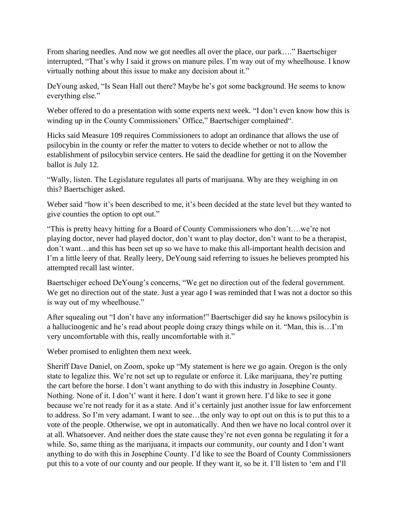From sharing needles. And now we got needles all over the place, our park…." Baertschiger interrupted, "That's why I said it grows on manure piles. I'm way out of my wheelhouse. I know virtually nothing about this issue to make any decision about it."

DeYoung asked, "Is Sean Hall out there? Maybe he's got some background. He seems to know everything else."

Weber offered to do a presentation with some experts next week. "I don't even know how this is winding up in the County Commissioners' Office," Baertschiger complained".

Hicks said Measure 109 requires Commissioners to adopt an ordinance that allows the use of psilocybin in the county or refer the matter to voters to decide whether or not to allow the establishment of psilocybin service centers. He said the deadline for getting it on the November ballot is July 12.

"Wally, listen. The Legislature regulates all parts of marijuana. Why are they weighing in on this? Baertschiger asked.

Weber said "how it's been described to me, it's been decided at the state level but they wanted to give counties the option to opt out."

"This is pretty heavy hitting for a Board of County Commissioners who don't….we're not playing doctor, never had played doctor, don't want to play doctor, don't want to be a therapist, don't want…and this has been set up so we have to make this all-important health decision and I'm a little leery of that. Really leery, DeYoung said referring to issues he believes prompted his attempted recall last winter.

Baertschiger echoed DeYoung's concerns, "We get no direction out of the federal government. We get no direction out of the state. Just a year ago I was reminded that I was not a doctor so this is way out of my wheelhouse."

After squealing out "I don't have any information!" Baertschiger did say he knows psilocybin is a hallucinogenic and he's read about people doing crazy things while on it. "Man, this is…I'm very uncomfortable with this, really uncomfortable with it."

Weber promised to enlighten them next week.

Sheriff Dave Daniel, on Zoom, spoke up "My statement is here we go again. Oregon is the only state to legalize this. We're not set up to regulate or enforce it. Like marijuana, they're putting the cart before the horse. I don't want anything to do with this industry in Josephine County. Nothing. None of it. I don't' want it here. I don't want it grown here. I'd like to see it gone because we're not ready for it as a state. And it's certainly just another issue for law enforcement to address. So I'm very adamant. I want to see…the only way to opt out on this is to put this to a vote of the people. Otherwise, we opt in automatically. And then we have no local control over it at all. Whatsoever. And neither does the state cause they're not even gonna be regulating it for a while. So, same thing as the marijuana, it impacts our community, our county and I don't want anything to do with this in Josephine County. I'd like to see the Board of County Commissioners put this to a vote of our county and our people. If they want it, so be it. I'll listen to 'em and I'll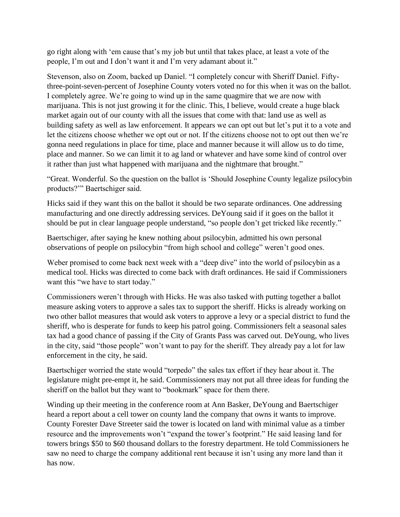go right along with 'em cause that's my job but until that takes place, at least a vote of the people, I'm out and I don't want it and I'm very adamant about it."

Stevenson, also on Zoom, backed up Daniel. "I completely concur with Sheriff Daniel. Fiftythree-point-seven-percent of Josephine County voters voted no for this when it was on the ballot. I completely agree. We're going to wind up in the same quagmire that we are now with marijuana. This is not just growing it for the clinic. This, I believe, would create a huge black market again out of our county with all the issues that come with that: land use as well as building safety as well as law enforcement. It appears we can opt out but let's put it to a vote and let the citizens choose whether we opt out or not. If the citizens choose not to opt out then we're gonna need regulations in place for time, place and manner because it will allow us to do time, place and manner. So we can limit it to ag land or whatever and have some kind of control over it rather than just what happened with marijuana and the nightmare that brought."

"Great. Wonderful. So the question on the ballot is 'Should Josephine County legalize psilocybin products?'" Baertschiger said.

Hicks said if they want this on the ballot it should be two separate ordinances. One addressing manufacturing and one directly addressing services. DeYoung said if it goes on the ballot it should be put in clear language people understand, "so people don't get tricked like recently."

Baertschiger, after saying he knew nothing about psilocybin, admitted his own personal observations of people on psilocybin "from high school and college" weren't good ones.

Weber promised to come back next week with a "deep dive" into the world of psilocybin as a medical tool. Hicks was directed to come back with draft ordinances. He said if Commissioners want this "we have to start today."

Commissioners weren't through with Hicks. He was also tasked with putting together a ballot measure asking voters to approve a sales tax to support the sheriff. Hicks is already working on two other ballot measures that would ask voters to approve a levy or a special district to fund the sheriff, who is desperate for funds to keep his patrol going. Commissioners felt a seasonal sales tax had a good chance of passing if the City of Grants Pass was carved out. DeYoung, who lives in the city, said "those people" won't want to pay for the sheriff. They already pay a lot for law enforcement in the city, he said.

Baertschiger worried the state would "torpedo" the sales tax effort if they hear about it. The legislature might pre-empt it, he said. Commissioners may not put all three ideas for funding the sheriff on the ballot but they want to "bookmark" space for them there.

Winding up their meeting in the conference room at Ann Basker, DeYoung and Baertschiger heard a report about a cell tower on county land the company that owns it wants to improve. County Forester Dave Streeter said the tower is located on land with minimal value as a timber resource and the improvements won't "expand the tower's footprint." He said leasing land for towers brings \$50 to \$60 thousand dollars to the forestry department. He told Commissioners he saw no need to charge the company additional rent because it isn't using any more land than it has now.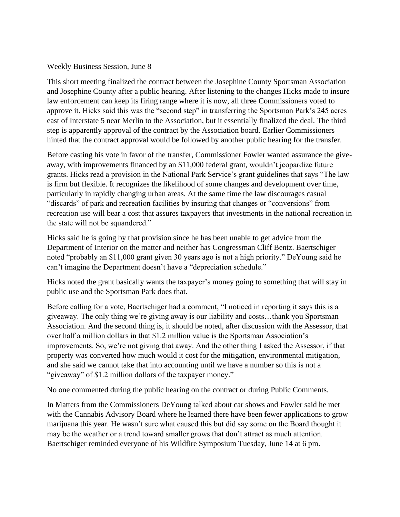## Weekly Business Session, June 8

This short meeting finalized the contract between the Josephine County Sportsman Association and Josephine County after a public hearing. After listening to the changes Hicks made to insure law enforcement can keep its firing range where it is now, all three Commissioners voted to approve it. Hicks said this was the "second step" in transferring the Sportsman Park's 245 acres east of Interstate 5 near Merlin to the Association, but it essentially finalized the deal. The third step is apparently approval of the contract by the Association board. Earlier Commissioners hinted that the contract approval would be followed by another public hearing for the transfer.

Before casting his vote in favor of the transfer, Commissioner Fowler wanted assurance the giveaway, with improvements financed by an \$11,000 federal grant, wouldn't jeopardize future grants. Hicks read a provision in the National Park Service's grant guidelines that says "The law is firm but flexible. It recognizes the likelihood of some changes and development over time, particularly in rapidly changing urban areas. At the same time the law discourages casual "discards" of park and recreation facilities by insuring that changes or "conversions" from recreation use will bear a cost that assures taxpayers that investments in the national recreation in the state will not be squandered."

Hicks said he is going by that provision since he has been unable to get advice from the Department of Interior on the matter and neither has Congressman Cliff Bentz. Baertschiger noted "probably an \$11,000 grant given 30 years ago is not a high priority." DeYoung said he can't imagine the Department doesn't have a "depreciation schedule."

Hicks noted the grant basically wants the taxpayer's money going to something that will stay in public use and the Sportsman Park does that.

Before calling for a vote, Baertschiger had a comment, "I noticed in reporting it says this is a giveaway. The only thing we're giving away is our liability and costs…thank you Sportsman Association. And the second thing is, it should be noted, after discussion with the Assessor, that over half a million dollars in that \$1.2 million value is the Sportsman Association's improvements. So, we're not giving that away. And the other thing I asked the Assessor, if that property was converted how much would it cost for the mitigation, environmental mitigation, and she said we cannot take that into accounting until we have a number so this is not a "giveaway" of \$1.2 million dollars of the taxpayer money."

No one commented during the public hearing on the contract or during Public Comments.

In Matters from the Commissioners DeYoung talked about car shows and Fowler said he met with the Cannabis Advisory Board where he learned there have been fewer applications to grow marijuana this year. He wasn't sure what caused this but did say some on the Board thought it may be the weather or a trend toward smaller grows that don't attract as much attention. Baertschiger reminded everyone of his Wildfire Symposium Tuesday, June 14 at 6 pm.